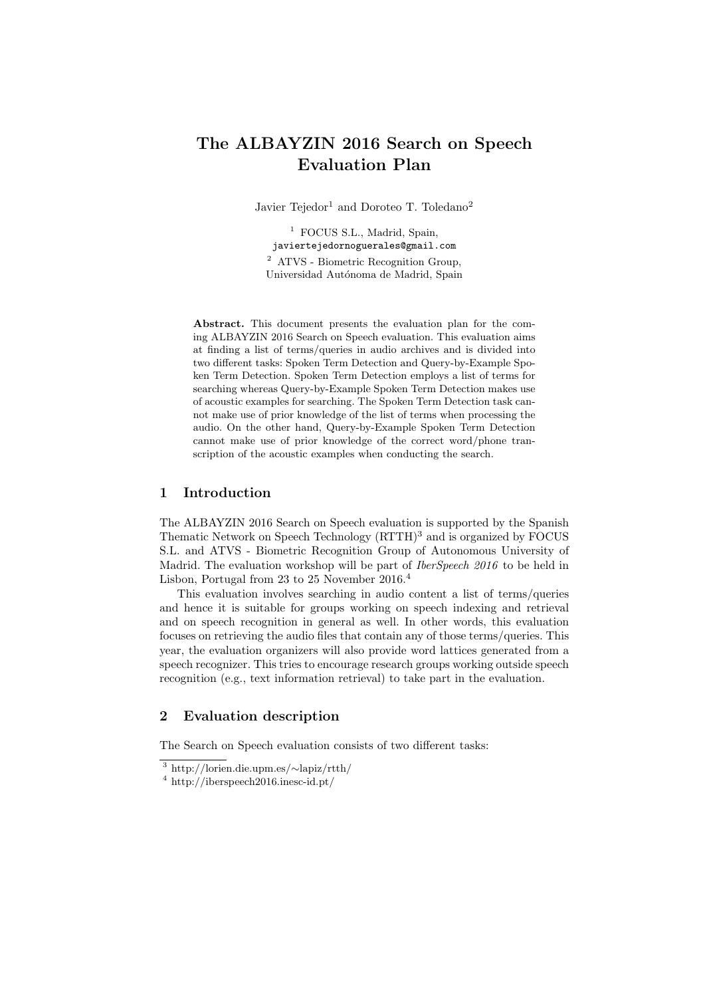# The ALBAYZIN 2016 Search on Speech Evaluation Plan

Javier Tejedor<sup>1</sup> and Doroteo T. Toledano<sup>2</sup>

<sup>1</sup> FOCUS S.L., Madrid, Spain, javiertejedornoguerales@gmail.com <sup>2</sup> ATVS - Biometric Recognition Group, Universidad Autónoma de Madrid, Spain

Abstract. This document presents the evaluation plan for the coming ALBAYZIN 2016 Search on Speech evaluation. This evaluation aims at finding a list of terms/queries in audio archives and is divided into two different tasks: Spoken Term Detection and Query-by-Example Spoken Term Detection. Spoken Term Detection employs a list of terms for searching whereas Query-by-Example Spoken Term Detection makes use of acoustic examples for searching. The Spoken Term Detection task cannot make use of prior knowledge of the list of terms when processing the audio. On the other hand, Query-by-Example Spoken Term Detection cannot make use of prior knowledge of the correct word/phone transcription of the acoustic examples when conducting the search.

# 1 Introduction

The ALBAYZIN 2016 Search on Speech evaluation is supported by the Spanish Thematic Network on Speech Technology (RTTH)<sup>3</sup> and is organized by FOCUS S.L. and ATVS - Biometric Recognition Group of Autonomous University of Madrid. The evaluation workshop will be part of *IberSpeech* 2016 to be held in Lisbon, Portugal from 23 to 25 November 2016.<sup>4</sup>

This evaluation involves searching in audio content a list of terms/queries and hence it is suitable for groups working on speech indexing and retrieval and on speech recognition in general as well. In other words, this evaluation focuses on retrieving the audio files that contain any of those terms/queries. This year, the evaluation organizers will also provide word lattices generated from a speech recognizer. This tries to encourage research groups working outside speech recognition (e.g., text information retrieval) to take part in the evaluation.

# 2 Evaluation description

The Search on Speech evaluation consists of two different tasks:

<sup>3</sup> http://lorien.die.upm.es/∼lapiz/rtth/

<sup>4</sup> http://iberspeech2016.inesc-id.pt/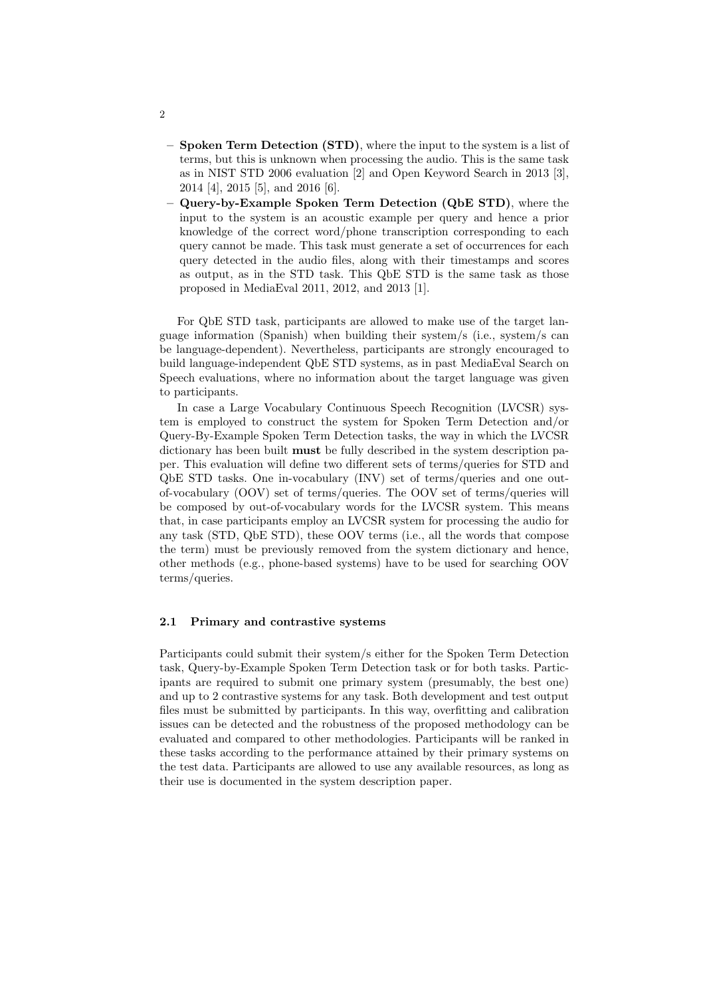- Spoken Term Detection (STD), where the input to the system is a list of terms, but this is unknown when processing the audio. This is the same task as in NIST STD 2006 evaluation [2] and Open Keyword Search in 2013 [3], 2014 [4], 2015 [5], and 2016 [6].
- Query-by-Example Spoken Term Detection (QbE STD), where the input to the system is an acoustic example per query and hence a prior knowledge of the correct word/phone transcription corresponding to each query cannot be made. This task must generate a set of occurrences for each query detected in the audio files, along with their timestamps and scores as output, as in the STD task. This QbE STD is the same task as those proposed in MediaEval 2011, 2012, and 2013 [1].

For QbE STD task, participants are allowed to make use of the target language information (Spanish) when building their system/s (i.e., system/s can be language-dependent). Nevertheless, participants are strongly encouraged to build language-independent QbE STD systems, as in past MediaEval Search on Speech evaluations, where no information about the target language was given to participants.

In case a Large Vocabulary Continuous Speech Recognition (LVCSR) system is employed to construct the system for Spoken Term Detection and/or Query-By-Example Spoken Term Detection tasks, the way in which the LVCSR dictionary has been built must be fully described in the system description paper. This evaluation will define two different sets of terms/queries for STD and QbE STD tasks. One in-vocabulary (INV) set of terms/queries and one outof-vocabulary (OOV) set of terms/queries. The OOV set of terms/queries will be composed by out-of-vocabulary words for the LVCSR system. This means that, in case participants employ an LVCSR system for processing the audio for any task (STD, QbE STD), these OOV terms (i.e., all the words that compose the term) must be previously removed from the system dictionary and hence, other methods (e.g., phone-based systems) have to be used for searching OOV terms/queries.

#### 2.1 Primary and contrastive systems

Participants could submit their system/s either for the Spoken Term Detection task, Query-by-Example Spoken Term Detection task or for both tasks. Participants are required to submit one primary system (presumably, the best one) and up to 2 contrastive systems for any task. Both development and test output files must be submitted by participants. In this way, overfitting and calibration issues can be detected and the robustness of the proposed methodology can be evaluated and compared to other methodologies. Participants will be ranked in these tasks according to the performance attained by their primary systems on the test data. Participants are allowed to use any available resources, as long as their use is documented in the system description paper.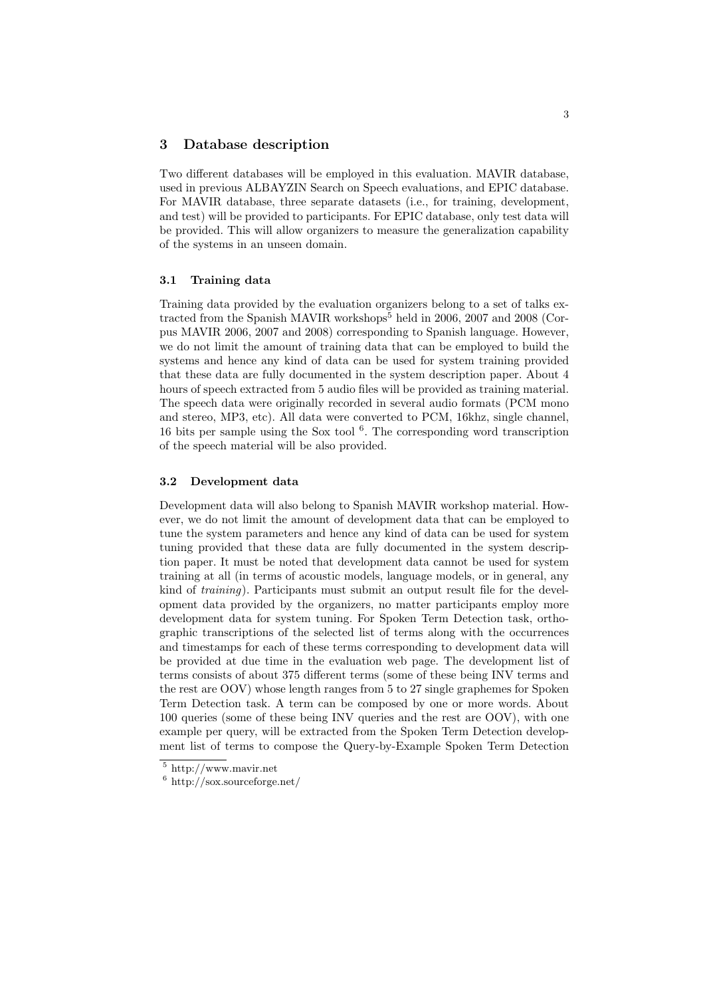#### 3 Database description

Two different databases will be employed in this evaluation. MAVIR database, used in previous ALBAYZIN Search on Speech evaluations, and EPIC database. For MAVIR database, three separate datasets (i.e., for training, development, and test) will be provided to participants. For EPIC database, only test data will be provided. This will allow organizers to measure the generalization capability of the systems in an unseen domain.

#### 3.1 Training data

Training data provided by the evaluation organizers belong to a set of talks extracted from the Spanish MAVIR workshops<sup>5</sup> held in 2006, 2007 and 2008 (Corpus MAVIR 2006, 2007 and 2008) corresponding to Spanish language. However, we do not limit the amount of training data that can be employed to build the systems and hence any kind of data can be used for system training provided that these data are fully documented in the system description paper. About 4 hours of speech extracted from 5 audio files will be provided as training material. The speech data were originally recorded in several audio formats (PCM mono and stereo, MP3, etc). All data were converted to PCM, 16khz, single channel, 16 bits per sample using the Sox tool  $6$ . The corresponding word transcription of the speech material will be also provided.

#### 3.2 Development data

Development data will also belong to Spanish MAVIR workshop material. However, we do not limit the amount of development data that can be employed to tune the system parameters and hence any kind of data can be used for system tuning provided that these data are fully documented in the system description paper. It must be noted that development data cannot be used for system training at all (in terms of acoustic models, language models, or in general, any kind of training). Participants must submit an output result file for the development data provided by the organizers, no matter participants employ more development data for system tuning. For Spoken Term Detection task, orthographic transcriptions of the selected list of terms along with the occurrences and timestamps for each of these terms corresponding to development data will be provided at due time in the evaluation web page. The development list of terms consists of about 375 different terms (some of these being INV terms and the rest are OOV) whose length ranges from 5 to 27 single graphemes for Spoken Term Detection task. A term can be composed by one or more words. About 100 queries (some of these being INV queries and the rest are OOV), with one example per query, will be extracted from the Spoken Term Detection development list of terms to compose the Query-by-Example Spoken Term Detection

<sup>5</sup> http://www.mavir.net

 $6$  http://sox.sourceforge.net/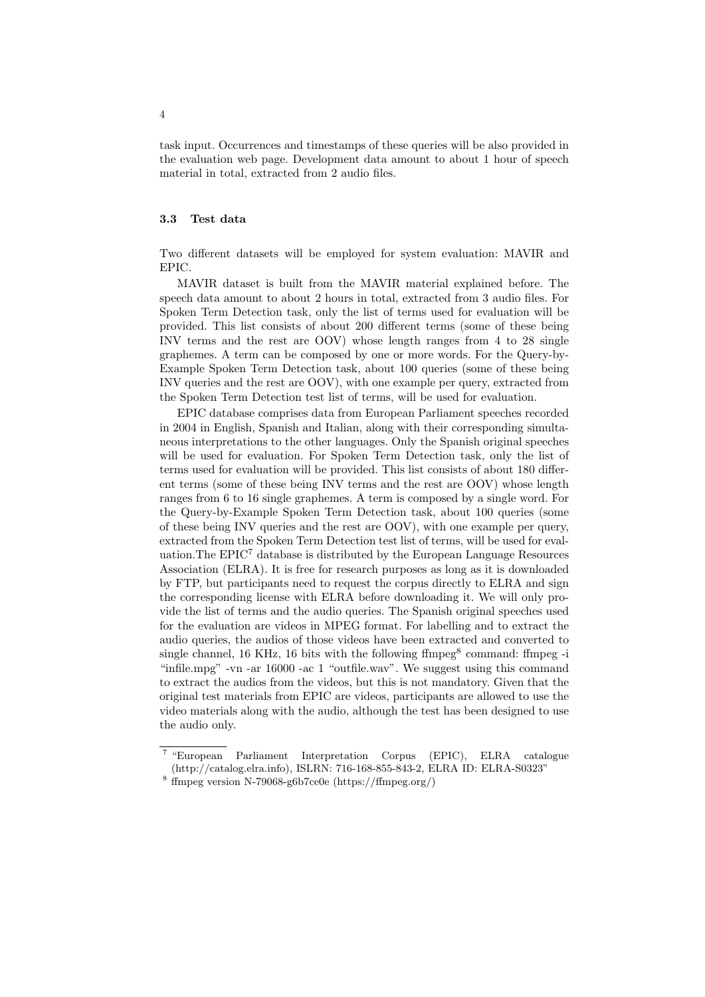task input. Occurrences and timestamps of these queries will be also provided in the evaluation web page. Development data amount to about 1 hour of speech material in total, extracted from 2 audio files.

#### 3.3 Test data

Two different datasets will be employed for system evaluation: MAVIR and EPIC.

MAVIR dataset is built from the MAVIR material explained before. The speech data amount to about 2 hours in total, extracted from 3 audio files. For Spoken Term Detection task, only the list of terms used for evaluation will be provided. This list consists of about 200 different terms (some of these being INV terms and the rest are OOV) whose length ranges from 4 to 28 single graphemes. A term can be composed by one or more words. For the Query-by-Example Spoken Term Detection task, about 100 queries (some of these being INV queries and the rest are OOV), with one example per query, extracted from the Spoken Term Detection test list of terms, will be used for evaluation.

EPIC database comprises data from European Parliament speeches recorded in 2004 in English, Spanish and Italian, along with their corresponding simultaneous interpretations to the other languages. Only the Spanish original speeches will be used for evaluation. For Spoken Term Detection task, only the list of terms used for evaluation will be provided. This list consists of about 180 different terms (some of these being INV terms and the rest are OOV) whose length ranges from 6 to 16 single graphemes. A term is composed by a single word. For the Query-by-Example Spoken Term Detection task, about 100 queries (some of these being INV queries and the rest are OOV), with one example per query, extracted from the Spoken Term Detection test list of terms, will be used for evaluation. The  $EPIC<sup>7</sup>$  database is distributed by the European Language Resources Association (ELRA). It is free for research purposes as long as it is downloaded by FTP, but participants need to request the corpus directly to ELRA and sign the corresponding license with ELRA before downloading it. We will only provide the list of terms and the audio queries. The Spanish original speeches used for the evaluation are videos in MPEG format. For labelling and to extract the audio queries, the audios of those videos have been extracted and converted to single channel,  $16$  KHz,  $16$  bits with the following  $f$ fmpeg<sup>8</sup> command:  $f$ fmpeg -i "infile.mpg" -vn -ar 16000 -ac 1 "outfile.wav". We suggest using this command to extract the audios from the videos, but this is not mandatory. Given that the original test materials from EPIC are videos, participants are allowed to use the video materials along with the audio, although the test has been designed to use the audio only.

<sup>&</sup>lt;sup>7</sup> "European Parliament Interpretation Corpus (EPIC), ELRA catalogue (http://catalog.elra.info), ISLRN: 716-168-855-843-2, ELRA ID: ELRA-S0323"

<sup>8</sup> ffmpeg version N-79068-g6b7ce0e (https://ffmpeg.org/)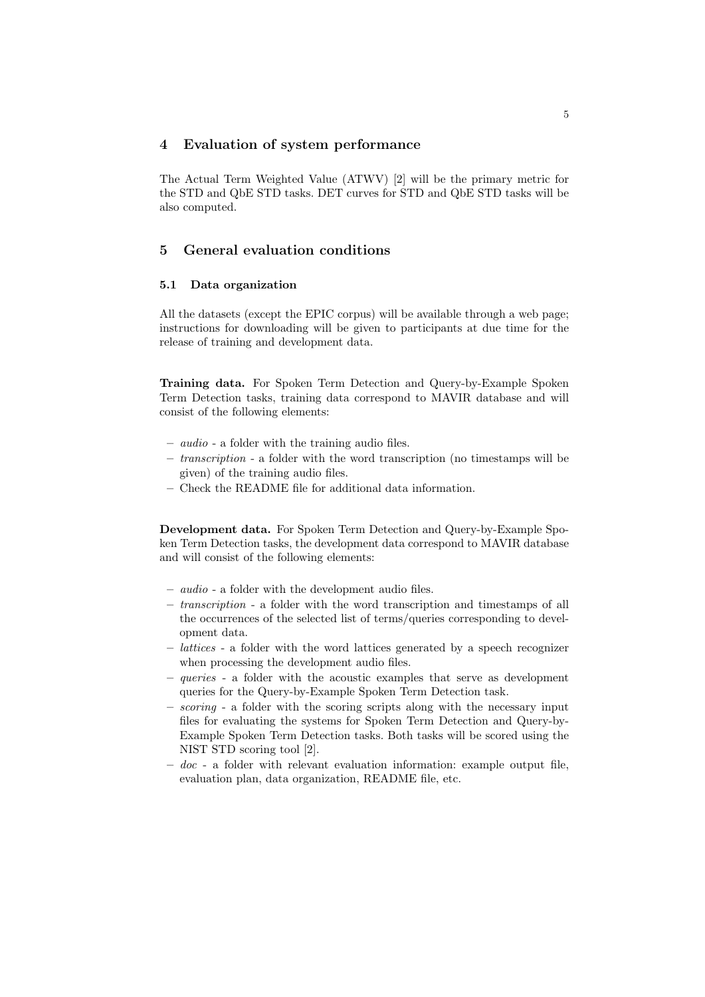# 4 Evaluation of system performance

The Actual Term Weighted Value (ATWV) [2] will be the primary metric for the STD and QbE STD tasks. DET curves for STD and QbE STD tasks will be also computed.

# 5 General evaluation conditions

#### 5.1 Data organization

All the datasets (except the EPIC corpus) will be available through a web page; instructions for downloading will be given to participants at due time for the release of training and development data.

Training data. For Spoken Term Detection and Query-by-Example Spoken Term Detection tasks, training data correspond to MAVIR database and will consist of the following elements:

- audio a folder with the training audio files.
- transcription a folder with the word transcription (no timestamps will be given) of the training audio files.
- Check the README file for additional data information.

Development data. For Spoken Term Detection and Query-by-Example Spoken Term Detection tasks, the development data correspond to MAVIR database and will consist of the following elements:

- audio a folder with the development audio files.
- transcription a folder with the word transcription and timestamps of all the occurrences of the selected list of terms/queries corresponding to development data.
- lattices a folder with the word lattices generated by a speech recognizer when processing the development audio files.
- queries a folder with the acoustic examples that serve as development queries for the Query-by-Example Spoken Term Detection task.
- $-$  scoring a folder with the scoring scripts along with the necessary input files for evaluating the systems for Spoken Term Detection and Query-by-Example Spoken Term Detection tasks. Both tasks will be scored using the NIST STD scoring tool [2].
- $-$  doc a folder with relevant evaluation information: example output file, evaluation plan, data organization, README file, etc.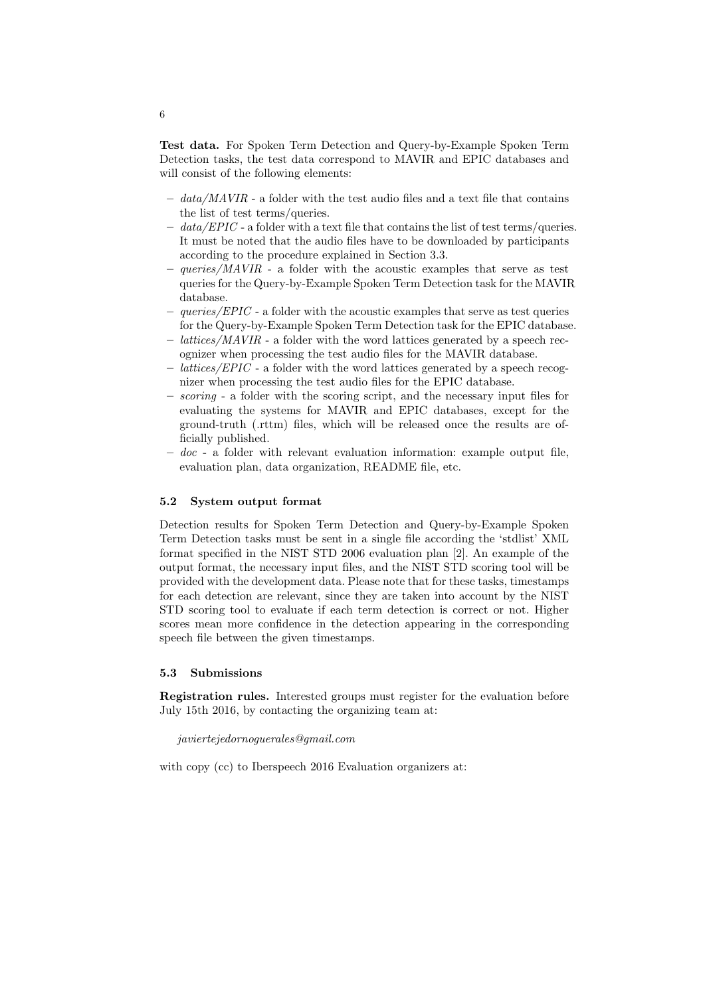Test data. For Spoken Term Detection and Query-by-Example Spoken Term Detection tasks, the test data correspond to MAVIR and EPIC databases and will consist of the following elements:

- $data/MAVIR$  a folder with the test audio files and a text file that contains the list of test terms/queries.
- $-$  data/EPIC a folder with a text file that contains the list of test terms/queries. It must be noted that the audio files have to be downloaded by participants according to the procedure explained in Section 3.3.
- $-$  queries/MAVIR a folder with the acoustic examples that serve as test queries for the Query-by-Example Spoken Term Detection task for the MAVIR database.
- $queries/EPIC$  a folder with the acoustic examples that serve as test queries for the Query-by-Example Spoken Term Detection task for the EPIC database.
- lattices/MAVIR a folder with the word lattices generated by a speech recognizer when processing the test audio files for the MAVIR database.
- lattices/EPIC a folder with the word lattices generated by a speech recognizer when processing the test audio files for the EPIC database.
- scoring a folder with the scoring script, and the necessary input files for evaluating the systems for MAVIR and EPIC databases, except for the ground-truth (.rttm) files, which will be released once the results are officially published.
- $-$  doc a folder with relevant evaluation information: example output file, evaluation plan, data organization, README file, etc.

#### 5.2 System output format

Detection results for Spoken Term Detection and Query-by-Example Spoken Term Detection tasks must be sent in a single file according the 'stdlist' XML format specified in the NIST STD 2006 evaluation plan [2]. An example of the output format, the necessary input files, and the NIST STD scoring tool will be provided with the development data. Please note that for these tasks, timestamps for each detection are relevant, since they are taken into account by the NIST STD scoring tool to evaluate if each term detection is correct or not. Higher scores mean more confidence in the detection appearing in the corresponding speech file between the given timestamps.

# 5.3 Submissions

Registration rules. Interested groups must register for the evaluation before July 15th 2016, by contacting the organizing team at:

#### javiertejedornoguerales@gmail.com

with copy (cc) to Iberspeech 2016 Evaluation organizers at: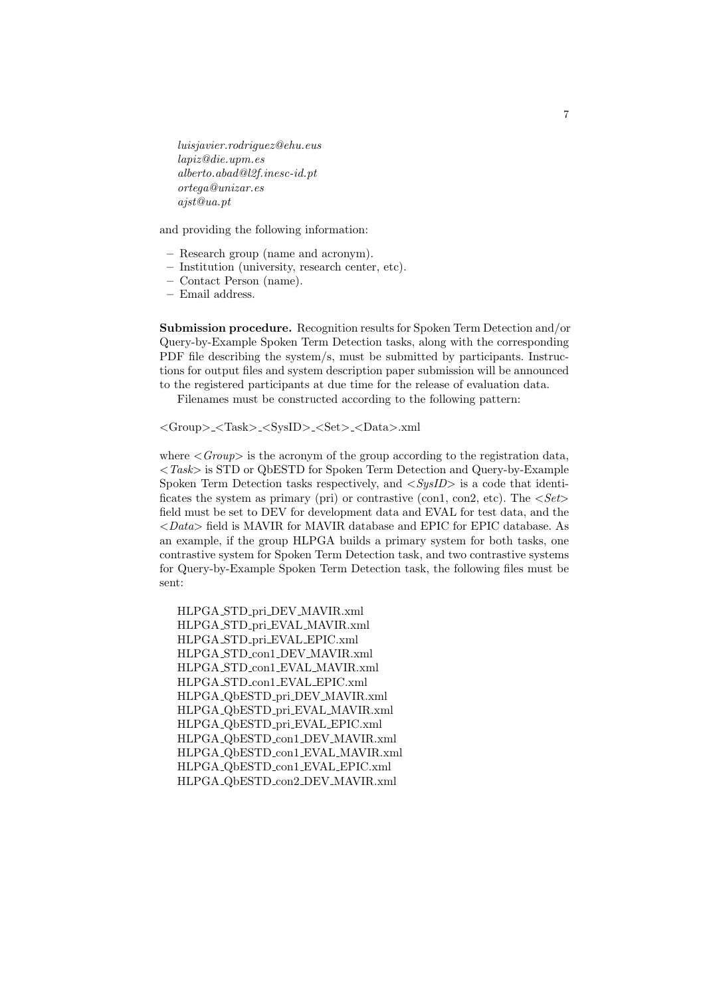luisjavier.rodriguez@ehu.eus lapiz@die.upm.es alberto.abad@l2f.inesc-id.pt ortega@unizar.es ajst@ua.pt

and providing the following information:

- Research group (name and acronym).
- Institution (university, research center, etc).
- Contact Person (name).
- Email address.

Submission procedure. Recognition results for Spoken Term Detection and/or Query-by-Example Spoken Term Detection tasks, along with the corresponding PDF file describing the system/s, must be submitted by participants. Instructions for output files and system description paper submission will be announced to the registered participants at due time for the release of evaluation data.

Filenames must be constructed according to the following pattern:

<Group>\_<Task>\_<SysID>\_<Set>\_<Data>.xml

where  $\langle Group\rangle$  is the acronym of the group according to the registration data,  $\langle Task\rangle$  is STD or QbESTD for Spoken Term Detection and Query-by-Example Spoken Term Detection tasks respectively, and  $\langle SysID \rangle$  is a code that identificates the system as primary (pri) or contrastive (con1, con2, etc). The  $\langle Set \rangle$ field must be set to DEV for development data and EVAL for test data, and the  $\langle Data \rangle$  field is MAVIR for MAVIR database and EPIC for EPIC database. As an example, if the group HLPGA builds a primary system for both tasks, one contrastive system for Spoken Term Detection task, and two contrastive systems for Query-by-Example Spoken Term Detection task, the following files must be sent:

HLPGA STD pri DEV MAVIR.xml HLPGA STD pri EVAL MAVIR.xml HLPGA STD pri EVAL EPIC.xml HLPGA STD con1 DEV MAVIR.xml HLPGA STD con1 EVAL MAVIR.xml HLPGA STD con1 EVAL EPIC.xml HLPGA QbESTD pri DEV MAVIR.xml HLPGA QbESTD pri EVAL MAVIR.xml HLPGA QbESTD pri EVAL EPIC.xml HLPGA QbESTD con1 DEV MAVIR.xml HLPGA QbESTD con1 EVAL MAVIR.xml HLPGA QbESTD con1 EVAL EPIC.xml HLPGA QbESTD con2 DEV MAVIR.xml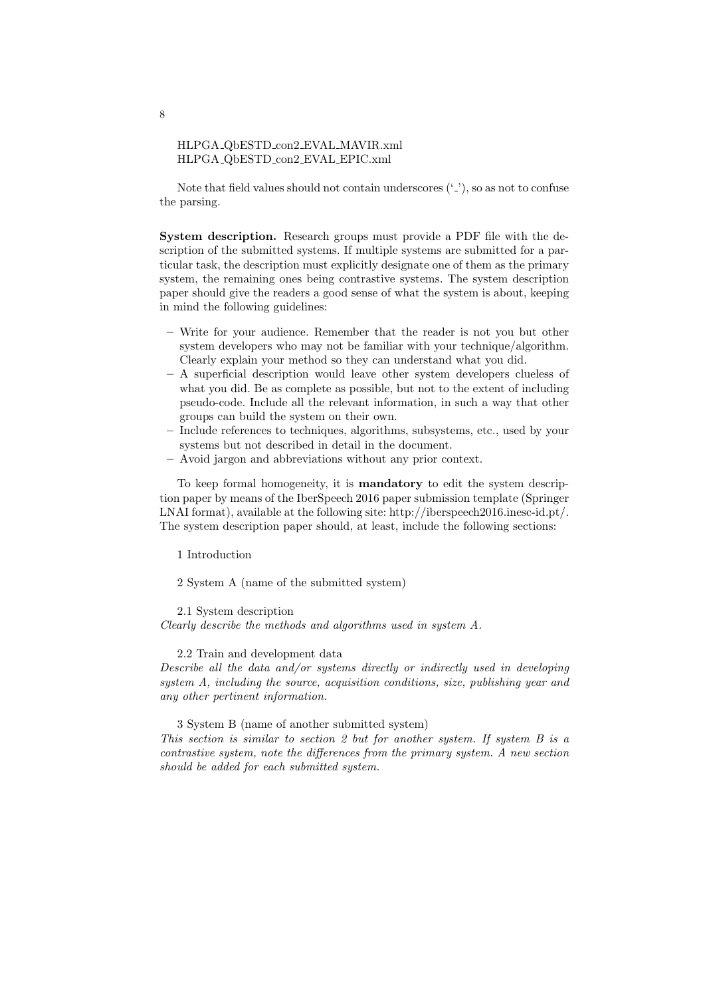#### HLPGA QbESTD con2 EVAL MAVIR.xml HLPGA QbESTD con2 EVAL EPIC.xml

Note that field values should not contain underscores  $(2)$ , so as not to confuse the parsing.

System description. Research groups must provide a PDF file with the description of the submitted systems. If multiple systems are submitted for a particular task, the description must explicitly designate one of them as the primary system, the remaining ones being contrastive systems. The system description paper should give the readers a good sense of what the system is about, keeping in mind the following guidelines:

- Write for your audience. Remember that the reader is not you but other system developers who may not be familiar with your technique/algorithm. Clearly explain your method so they can understand what you did.
- A superficial description would leave other system developers clueless of what you did. Be as complete as possible, but not to the extent of including pseudo-code. Include all the relevant information, in such a way that other groups can build the system on their own.
- Include references to techniques, algorithms, subsystems, etc., used by your systems but not described in detail in the document.
- Avoid jargon and abbreviations without any prior context.

To keep formal homogeneity, it is mandatory to edit the system description paper by means of the IberSpeech 2016 paper submission template (Springer LNAI format), available at the following site: http://iberspeech2016.inesc-id.pt/. The system description paper should, at least, include the following sections:

1 Introduction

2 System A (name of the submitted system)

2.1 System description

Clearly describe the methods and algorithms used in system A.

2.2 Train and development data

Describe all the data and/or systems directly or indirectly used in developing system A, including the source, acquisition conditions, size, publishing year and any other pertinent information.

3 System B (name of another submitted system)

This section is similar to section 2 but for another system. If system B is a contrastive system, note the differences from the primary system. A new section should be added for each submitted system.

8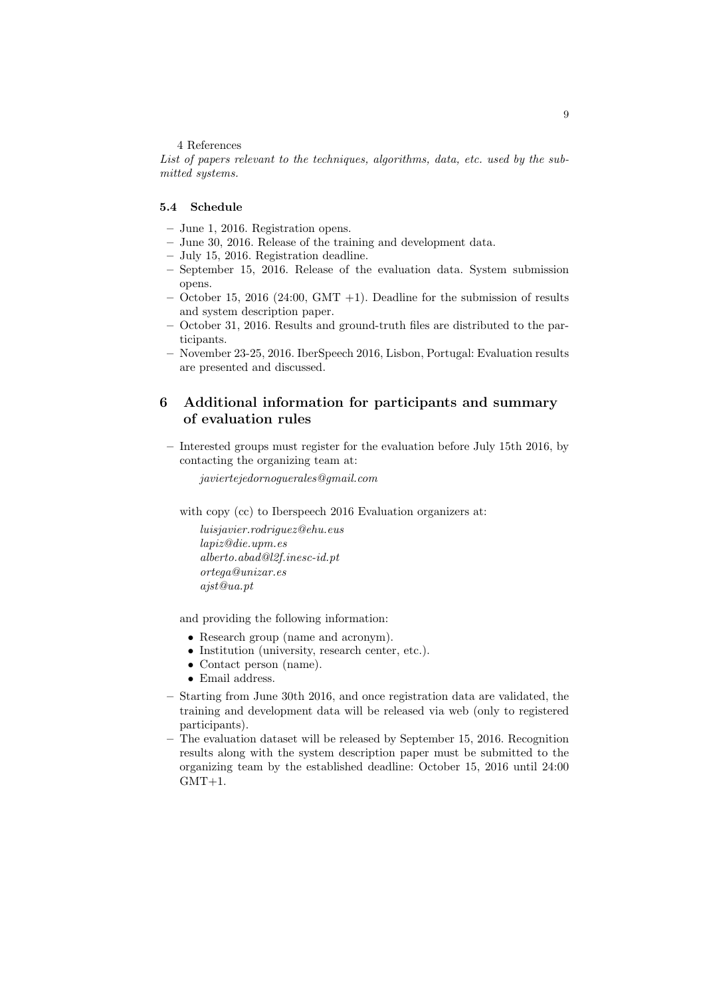#### 4 References

List of papers relevant to the techniques, algorithms, data, etc. used by the submitted systems.

# 5.4 Schedule

- June 1, 2016. Registration opens.
- June 30, 2016. Release of the training and development data.
- July 15, 2016. Registration deadline.
- September 15, 2016. Release of the evaluation data. System submission opens.
- $-$  October 15, 2016 (24:00, GMT  $+1$ ). Deadline for the submission of results and system description paper.
- October 31, 2016. Results and ground-truth files are distributed to the participants.
- November 23-25, 2016. IberSpeech 2016, Lisbon, Portugal: Evaluation results are presented and discussed.

# 6 Additional information for participants and summary of evaluation rules

– Interested groups must register for the evaluation before July 15th 2016, by contacting the organizing team at:

javiertejedornoguerales@gmail.com

with copy (cc) to Iberspeech 2016 Evaluation organizers at:

luisjavier.rodriguez@ehu.eus lapiz@die.upm.es alberto.abad@l2f.inesc-id.pt ortega@unizar.es ajst@ua.pt

and providing the following information:

- Research group (name and acronym).
- Institution (university, research center, etc.).
- Contact person (name).
- Email address.
- Starting from June 30th 2016, and once registration data are validated, the training and development data will be released via web (only to registered participants).
- The evaluation dataset will be released by September 15, 2016. Recognition results along with the system description paper must be submitted to the organizing team by the established deadline: October 15, 2016 until 24:00  $GMT+1.$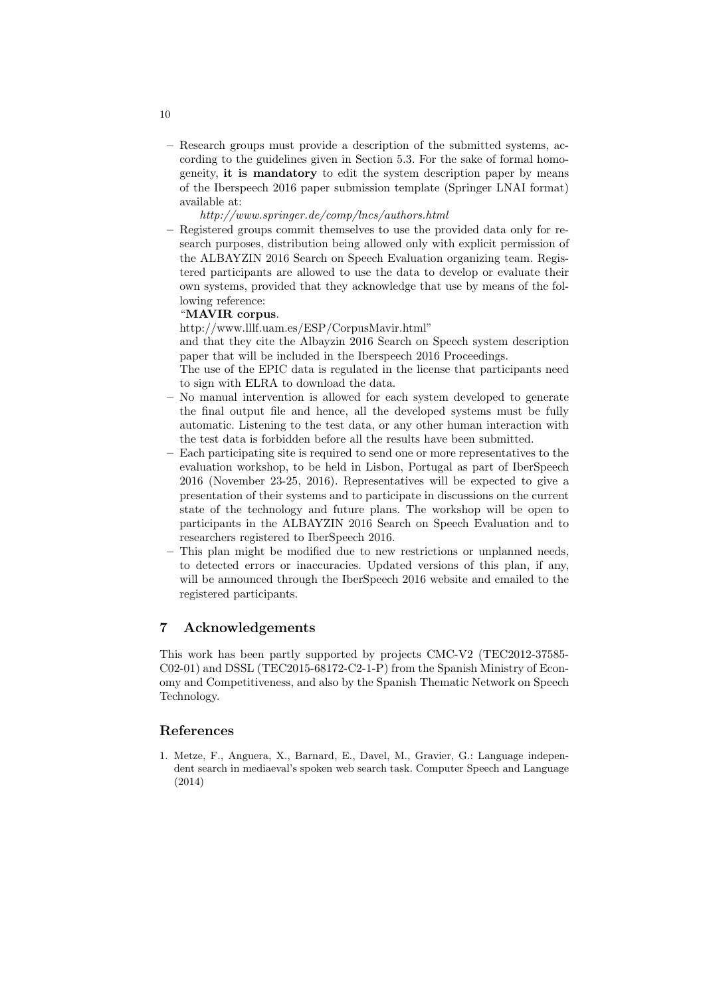– Research groups must provide a description of the submitted systems, according to the guidelines given in Section 5.3. For the sake of formal homogeneity, it is mandatory to edit the system description paper by means of the Iberspeech 2016 paper submission template (Springer LNAI format) available at:

http://www.springer.de/comp/lncs/authors.html

– Registered groups commit themselves to use the provided data only for research purposes, distribution being allowed only with explicit permission of the ALBAYZIN 2016 Search on Speech Evaluation organizing team. Registered participants are allowed to use the data to develop or evaluate their own systems, provided that they acknowledge that use by means of the following reference:

#### "MAVIR corpus.

http://www.lllf.uam.es/ESP/CorpusMavir.html"

and that they cite the Albayzin 2016 Search on Speech system description paper that will be included in the Iberspeech 2016 Proceedings.

- The use of the EPIC data is regulated in the license that participants need to sign with ELRA to download the data.
- No manual intervention is allowed for each system developed to generate the final output file and hence, all the developed systems must be fully automatic. Listening to the test data, or any other human interaction with the test data is forbidden before all the results have been submitted.
- Each participating site is required to send one or more representatives to the evaluation workshop, to be held in Lisbon, Portugal as part of IberSpeech 2016 (November 23-25, 2016). Representatives will be expected to give a presentation of their systems and to participate in discussions on the current state of the technology and future plans. The workshop will be open to participants in the ALBAYZIN 2016 Search on Speech Evaluation and to researchers registered to IberSpeech 2016.
- This plan might be modified due to new restrictions or unplanned needs, to detected errors or inaccuracies. Updated versions of this plan, if any, will be announced through the IberSpeech 2016 website and emailed to the registered participants.

# 7 Acknowledgements

This work has been partly supported by projects CMC-V2 (TEC2012-37585- C02-01) and DSSL (TEC2015-68172-C2-1-P) from the Spanish Ministry of Economy and Competitiveness, and also by the Spanish Thematic Network on Speech Technology.

### References

1. Metze, F., Anguera, X., Barnard, E., Davel, M., Gravier, G.: Language independent search in mediaeval's spoken web search task. Computer Speech and Language (2014)

10